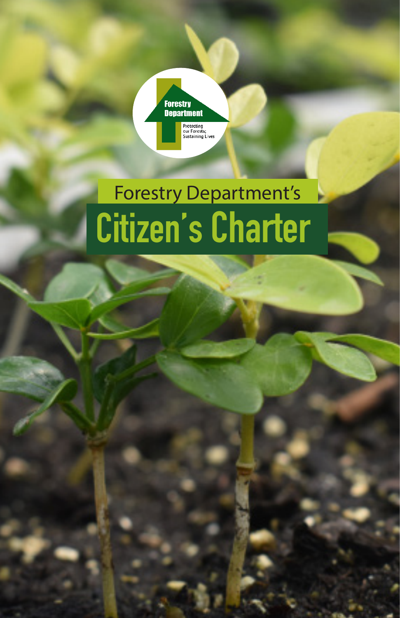

# Citizen's Charter Forestry Department's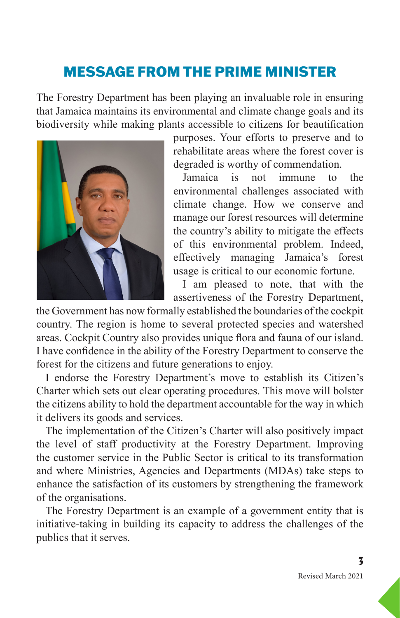# MESSAGE FROM THE PRIME MINISTER

The Forestry Department has been playing an invaluable role in ensuring that Jamaica maintains its environmental and climate change goals and its biodiversity while making plants accessible to citizens for beautification



purposes. Your efforts to preserve and to rehabilitate areas where the forest cover is degraded is worthy of commendation.

Jamaica is not immune to the environmental challenges associated with climate change. How we conserve and manage our forest resources will determine the country's ability to mitigate the effects of this environmental problem. Indeed, effectively managing Jamaica's forest usage is critical to our economic fortune.

I am pleased to note, that with the assertiveness of the Forestry Department,

the Government has now formally established the boundaries of the cockpit country. The region is home to several protected species and watershed areas. Cockpit Country also provides unique flora and fauna of our island. I have confidence in the ability of the Forestry Department to conserve the forest for the citizens and future generations to enjoy.

I endorse the Forestry Department's move to establish its Citizen's Charter which sets out clear operating procedures. This move will bolster the citizens ability to hold the department accountable for the way in which it delivers its goods and services.

The implementation of the Citizen's Charter will also positively impact the level of staff productivity at the Forestry Department. Improving the customer service in the Public Sector is critical to its transformation and where Ministries, Agencies and Departments (MDAs) take steps to enhance the satisfaction of its customers by strengthening the framework of the organisations.

The Forestry Department is an example of a government entity that is initiative-taking in building its capacity to address the challenges of the publics that it serves.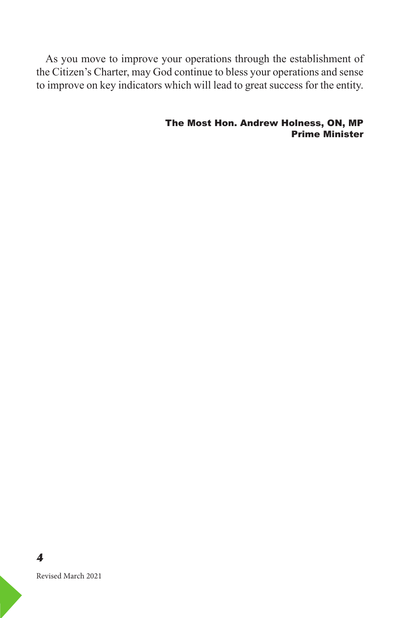As you move to improve your operations through the establishment of the Citizen's Charter, may God continue to bless your operations and sense to improve on key indicators which will lead to great success for the entity.

> The Most Hon. Andrew Holness, ON, MP Prime Minister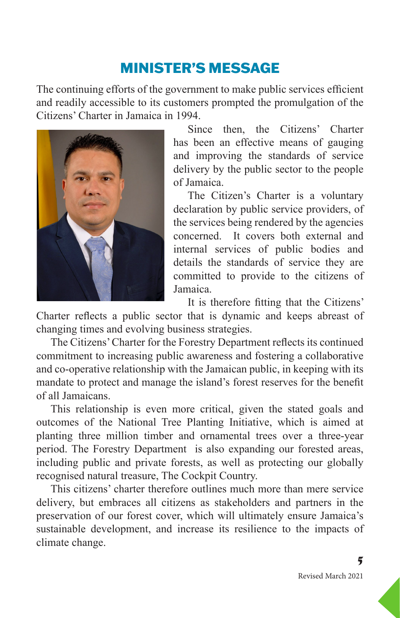# MINISTER'S MESSAGE

The continuing efforts of the government to make public services efficient and readily accessible to its customers prompted the promulgation of the Citizens' Charter in Jamaica in 1994.



Since then, the Citizens' Charter has been an effective means of gauging and improving the standards of service delivery by the public sector to the people of Jamaica.

The Citizen's Charter is a voluntary declaration by public service providers, of the services being rendered by the agencies concerned. It covers both external and internal services of public bodies and details the standards of service they are committed to provide to the citizens of Jamaica.

It is therefore fitting that the Citizens' Charter reflects a public sector that is dynamic and keeps abreast of changing times and evolving business strategies.

The Citizens' Charter for the Forestry Department reflects its continued commitment to increasing public awareness and fostering a collaborative and co-operative relationship with the Jamaican public, in keeping with its mandate to protect and manage the island's forest reserves for the benefit of all Jamaicans.

This relationship is even more critical, given the stated goals and outcomes of the National Tree Planting Initiative, which is aimed at planting three million timber and ornamental trees over a three-year period. The Forestry Department is also expanding our forested areas, including public and private forests, as well as protecting our globally recognised natural treasure, The Cockpit Country.

This citizens' charter therefore outlines much more than mere service delivery, but embraces all citizens as stakeholders and partners in the preservation of our forest cover, which will ultimately ensure Jamaica's sustainable development, and increase its resilience to the impacts of climate change.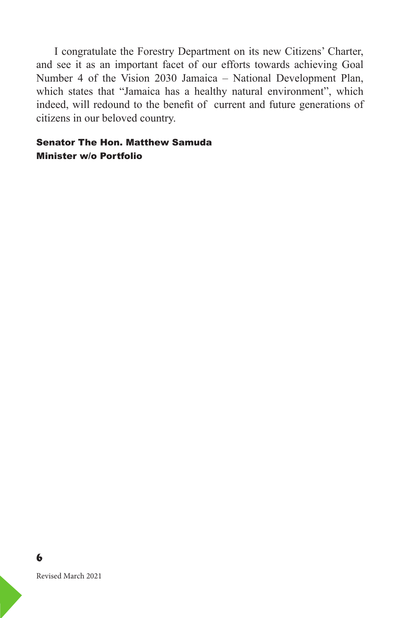I congratulate the Forestry Department on its new Citizens' Charter, and see it as an important facet of our efforts towards achieving Goal Number 4 of the Vision 2030 Jamaica – National Development Plan, which states that "Jamaica has a healthy natural environment", which indeed, will redound to the benefit of current and future generations of citizens in our beloved country.

#### Senator The Hon. Matthew Samuda Minister w/o Portfolio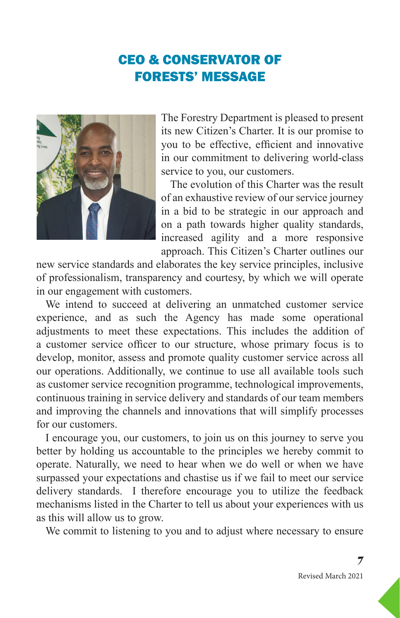## CEO & CONSERVATOR OF FORESTS' MESSAGE



The Forestry Department is pleased to present its new Citizen's Charter. It is our promise to you to be effective, efficient and innovative in our commitment to delivering world-class service to you, our customers.

The evolution of this Charter was the result of an exhaustive review of our service journey in a bid to be strategic in our approach and on a path towards higher quality standards, increased agility and a more responsive approach. This Citizen's Charter outlines our

new service standards and elaborates the key service principles, inclusive of professionalism, transparency and courtesy, by which we will operate in our engagement with customers.

We intend to succeed at delivering an unmatched customer service experience, and as such the Agency has made some operational adjustments to meet these expectations. This includes the addition of a customer service officer to our structure, whose primary focus is to develop, monitor, assess and promote quality customer service across all our operations. Additionally, we continue to use all available tools such as customer service recognition programme, technological improvements, continuous training in service delivery and standards of our team members and improving the channels and innovations that will simplify processes for our customers.

I encourage you, our customers, to join us on this journey to serve you better by holding us accountable to the principles we hereby commit to operate. Naturally, we need to hear when we do well or when we have surpassed your expectations and chastise us if we fail to meet our service delivery standards. I therefore encourage you to utilize the feedback mechanisms listed in the Charter to tell us about your experiences with us as this will allow us to grow.

We commit to listening to you and to adjust where necessary to ensure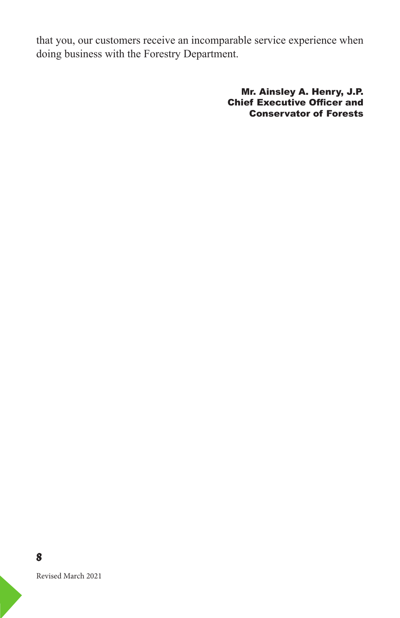that you, our customers receive an incomparable service experience when doing business with the Forestry Department.

> Mr. Ainsley A. Henry, J.P. Chief Executive Officer and Conservator of Forests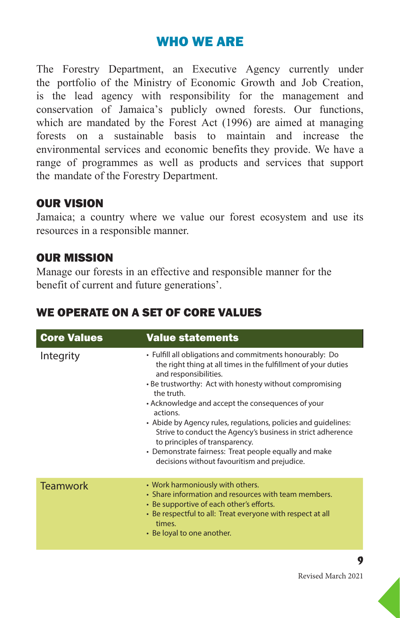## WHO WE ARE

The Forestry Department, an Executive Agency currently under the portfolio of the Ministry of Economic Growth and Job Creation, is the lead agency with responsibility for the management and conservation of Jamaica's publicly owned forests. Our functions, which are mandated by the Forest Act (1996) are aimed at managing forests on a sustainable basis to maintain and increase the environmental services and economic benefits they provide. We have a range of programmes as well as products and services that support the mandate of the Forestry Department.

#### OUR VISION

Jamaica; a country where we value our forest ecosystem and use its resources in a responsible manner.

#### OUR MISSION

Manage our forests in an effective and responsible manner for the benefit of current and future generations'.

| <b>Core Values</b> | <b>Value statements</b>                                                                                                                                                                                                                                                                                                                                                                                                                                                                                                                                                   |
|--------------------|---------------------------------------------------------------------------------------------------------------------------------------------------------------------------------------------------------------------------------------------------------------------------------------------------------------------------------------------------------------------------------------------------------------------------------------------------------------------------------------------------------------------------------------------------------------------------|
| Integrity          | • Fulfill all obligations and commitments honourably: Do<br>the right thing at all times in the fulfillment of your duties<br>and responsibilities.<br>• Be trustworthy: Act with honesty without compromising<br>the truth.<br>• Acknowledge and accept the consequences of your<br>actions.<br>• Abide by Agency rules, regulations, policies and quidelines:<br>Strive to conduct the Agency's business in strict adherence<br>to principles of transparency.<br>• Demonstrate fairness: Treat people equally and make<br>decisions without favouritism and prejudice. |
| <b>Teamwork</b>    | • Work harmoniously with others.<br>• Share information and resources with team members.<br>• Be supportive of each other's efforts.<br>• Be respectful to all: Treat everyone with respect at all<br>times.<br>• Be loyal to one another.                                                                                                                                                                                                                                                                                                                                |

#### WE OPERATE ON A SET OF CORE VALUES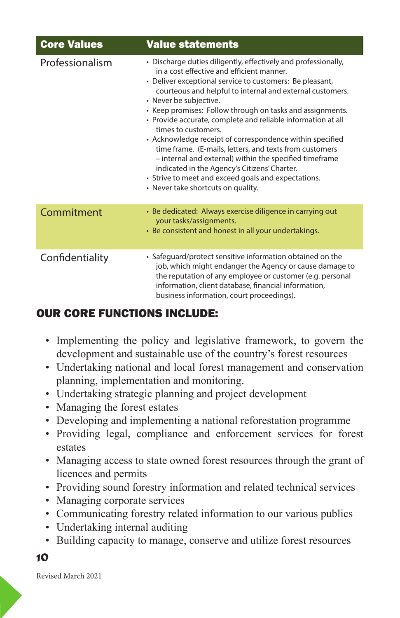| <b>Core Values</b> | <b>Value statements</b>                                                                                                                                                                                                                                                                                                                                                                                                                                                                                                                                                                                                                                                                                                                           |
|--------------------|---------------------------------------------------------------------------------------------------------------------------------------------------------------------------------------------------------------------------------------------------------------------------------------------------------------------------------------------------------------------------------------------------------------------------------------------------------------------------------------------------------------------------------------------------------------------------------------------------------------------------------------------------------------------------------------------------------------------------------------------------|
| Professionalism    | • Discharge duties diligently, effectively and professionally,<br>in a cost effective and efficient manner.<br>• Deliver exceptional service to customers: Be pleasant,<br>courteous and helpful to internal and external customers.<br>• Never be subjective.<br>• Keep promises: Follow through on tasks and assignments.<br>• Provide accurate, complete and reliable information at all<br>times to customers.<br>• Acknowledge receipt of correspondence within specified<br>time frame. (E-mails, letters, and texts from customers<br>- internal and external) within the specified timeframe<br>indicated in the Agency's Citizens' Charter.<br>• Strive to meet and exceed goals and expectations.<br>• Never take shortcuts on quality. |
| Commitment         | • Be dedicated: Always exercise diligence in carrying out<br>your tasks/assignments.<br>• Be consistent and honest in all your undertakings.                                                                                                                                                                                                                                                                                                                                                                                                                                                                                                                                                                                                      |
| Confidentiality    | • Safequard/protect sensitive information obtained on the<br>job, which might endanger the Agency or cause damage to<br>the reputation of any employee or customer (e.g. personal<br>information, client database, financial information,<br>business information, court proceedings).                                                                                                                                                                                                                                                                                                                                                                                                                                                            |

#### OUR CORE FUNCTIONS INCLUDE:

- Implementing the policy and legislative framework, to govern the development and sustainable use of the country's forest resources
- Undertaking national and local forest management and conservation planning, implementation and monitoring.
- Undertaking strategic planning and project development
- Managing the forest estates
- Developing and implementing a national reforestation programme
- Providing legal, compliance and enforcement services for forest estates
- Managing access to state owned forest resources through the grant of licences and permits
- Providing sound forestry information and related technical services
- Managing corporate services
- Communicating forestry related information to our various publics
- Undertaking internal auditing
- Building capacity to manage, conserve and utilize forest resources

*10*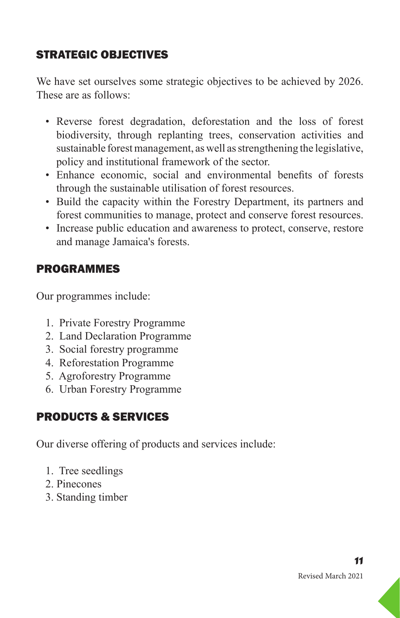## STRATEGIC OBJECTIVES

We have set ourselves some strategic objectives to be achieved by 2026. These are as follows:

- Reverse forest degradation, deforestation and the loss of forest biodiversity, through replanting trees, conservation activities and sustainable forest management, as well as strengthening the legislative, policy and institutional framework of the sector.
- Enhance economic, social and environmental benefits of forests through the sustainable utilisation of forest resources.
- Build the capacity within the Forestry Department, its partners and forest communities to manage, protect and conserve forest resources.
- Increase public education and awareness to protect, conserve, restore and manage Jamaica's forests.

#### PROGRAMMES

Our programmes include:

- 1. Private Forestry Programme
- 2. Land Declaration Programme
- 3. Social forestry programme
- 4. Reforestation Programme
- 5. Agroforestry Programme
- 6. Urban Forestry Programme

#### PRODUCTS & SERVICES

Our diverse offering of products and services include:

- 1. Tree seedlings
- 2. Pinecones
- 3. Standing timber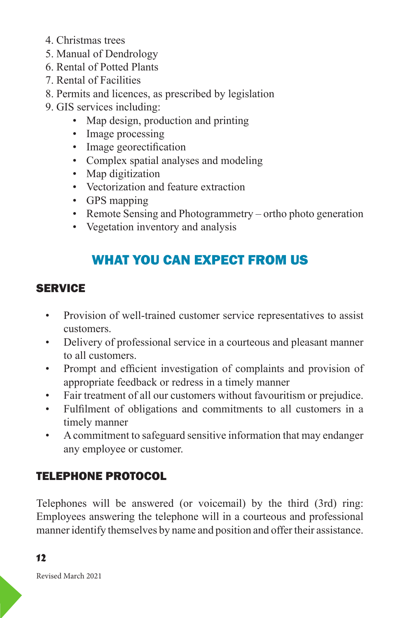- 4. Christmas trees
- 5. Manual of Dendrology
- 6. Rental of Potted Plants
- 7. Rental of Facilities
- 8. Permits and licences, as prescribed by legislation
- 9. GIS services including:
	- Map design, production and printing
	- Image processing
	- Image georectification
	- Complex spatial analyses and modeling
	- Map digitization
	- Vectorization and feature extraction
	- GPS mapping
	- Remote Sensing and Photogrammetry ortho photo generation
	- Vegetation inventory and analysis

# WHAT YOU CAN EXPECT FROM US

#### **SERVICE**

- Provision of well-trained customer service representatives to assist customers.
- Delivery of professional service in a courteous and pleasant manner to all customers.
- Prompt and efficient investigation of complaints and provision of appropriate feedback or redress in a timely manner
- Fair treatment of all our customers without favouritism or prejudice.
- Fulfilment of obligations and commitments to all customers in a timely manner
- A commitment to safeguard sensitive information that may endanger any employee or customer.

## TELEPHONE PROTOCOL

Telephones will be answered (or voicemail) by the third (3rd) ring: Employees answering the telephone will in a courteous and professional manner identify themselves by name and position and offer their assistance.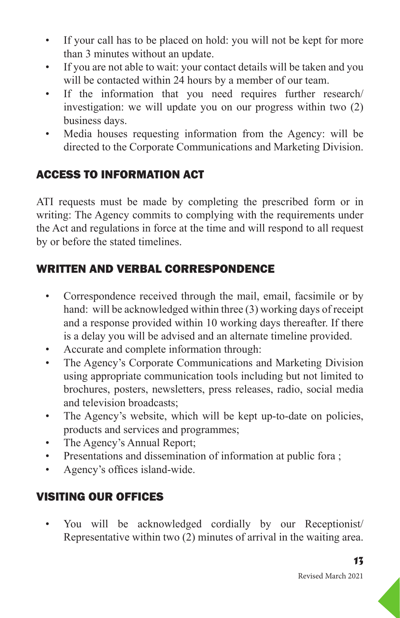- If your call has to be placed on hold: you will not be kept for more than 3 minutes without an update.
- If you are not able to wait: your contact details will be taken and you will be contacted within 24 hours by a member of our team.
- If the information that you need requires further research/ investigation: we will update you on our progress within two (2) business days.
- Media houses requesting information from the Agency: will be directed to the Corporate Communications and Marketing Division.

## ACCESS TO INFORMATION ACT

ATI requests must be made by completing the prescribed form or in writing: The Agency commits to complying with the requirements under the Act and regulations in force at the time and will respond to all request by or before the stated timelines.

## WRITTEN AND VERBAL CORRESPONDENCE

- Correspondence received through the mail, email, facsimile or by hand: will be acknowledged within three (3) working days of receipt and a response provided within 10 working days thereafter. If there is a delay you will be advised and an alternate timeline provided.
- Accurate and complete information through:
- The Agency's Corporate Communications and Marketing Division using appropriate communication tools including but not limited to brochures, posters, newsletters, press releases, radio, social media and television broadcasts;
- The Agency's website, which will be kept up-to-date on policies, products and services and programmes;
- The Agency's Annual Report;
- Presentations and dissemination of information at public fora ;
- Agency's offices island-wide.

#### VISITING OUR OFFICES

• You will be acknowledged cordially by our Receptionist/ Representative within two (2) minutes of arrival in the waiting area.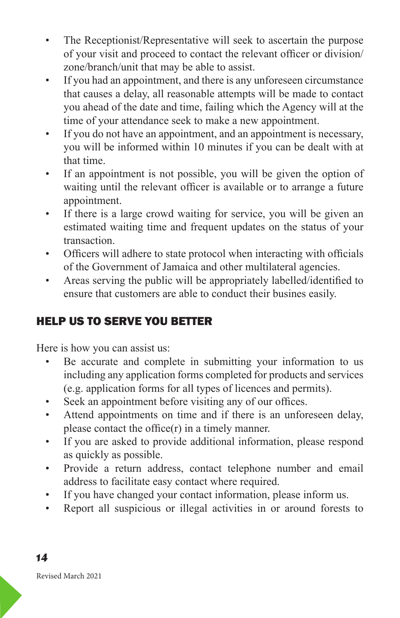- The Receptionist/Representative will seek to ascertain the purpose of your visit and proceed to contact the relevant officer or division/ zone/branch/unit that may be able to assist.
- If you had an appointment, and there is any unforeseen circumstance that causes a delay, all reasonable attempts will be made to contact you ahead of the date and time, failing which the Agency will at the time of your attendance seek to make a new appointment.
- If you do not have an appointment, and an appointment is necessary, you will be informed within 10 minutes if you can be dealt with at that time.
- If an appointment is not possible, you will be given the option of waiting until the relevant officer is available or to arrange a future appointment.
- If there is a large crowd waiting for service, you will be given an estimated waiting time and frequent updates on the status of your transaction.
- Officers will adhere to state protocol when interacting with officials of the Government of Jamaica and other multilateral agencies.
- Areas serving the public will be appropriately labelled/identified to ensure that customers are able to conduct their busines easily.

## HELP US TO SERVE YOU BETTER

Here is how you can assist us:

- Be accurate and complete in submitting your information to us including any application forms completed for products and services (e.g. application forms for all types of licences and permits).
- Seek an appointment before visiting any of our offices.
- Attend appointments on time and if there is an unforeseen delay, please contact the office(r) in a timely manner.
- If you are asked to provide additional information, please respond as quickly as possible.
- Provide a return address, contact telephone number and email address to facilitate easy contact where required.
- If you have changed your contact information, please inform us.
- Report all suspicious or illegal activities in or around forests to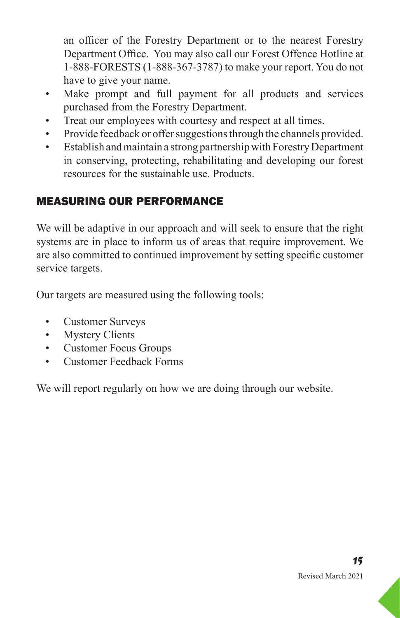an officer of the Forestry Department or to the nearest Forestry Department Office. You may also call our Forest Offence Hotline at 1-888-FORESTS (1-888-367-3787) to make your report. You do not have to give your name.

- Make prompt and full payment for all products and services purchased from the Forestry Department.
- Treat our employees with courtesy and respect at all times.
- Provide feedback or offer suggestions through the channels provided.
- Establish and maintain a strong partnership with Forestry Department in conserving, protecting, rehabilitating and developing our forest resources for the sustainable use. Products.

#### MEASURING OUR PERFORMANCE

We will be adaptive in our approach and will seek to ensure that the right systems are in place to inform us of areas that require improvement. We are also committed to continued improvement by setting specific customer service targets.

Our targets are measured using the following tools:

- Customer Surveys
- Mystery Clients
- Customer Focus Groups
- Customer Feedback Forms

We will report regularly on how we are doing through our website.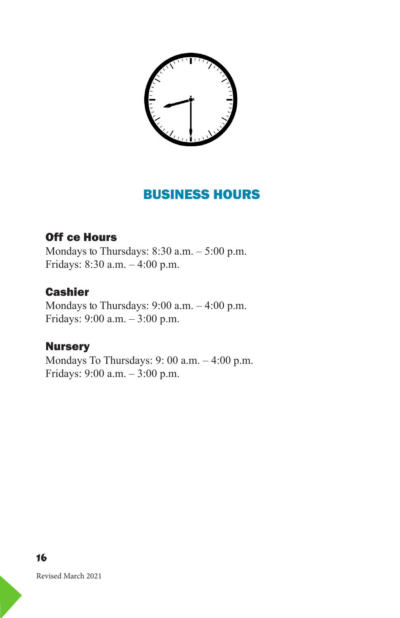

## BUSINESS HOURS

#### Off ce Hours

Mondays to Thursdays:  $8:30$  a.m.  $-5:00$  p.m. Fridays: 8:30 a.m. – 4:00 p.m.

#### **Cashier**

Mondays to Thursdays:  $9:00$  a.m.  $-4:00$  p.m. Fridays: 9:00 a.m. – 3:00 p.m.

#### **Nursery**

Mondays To Thursdays: 9: 00 a.m. – 4:00 p.m. Fridays: 9:00 a.m. – 3:00 p.m.

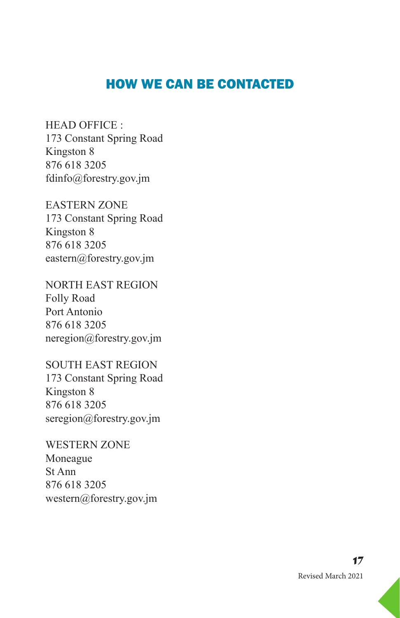#### HOW WE CAN BE CONTACTED

HEAD OFFICE : 173 Constant Spring Road Kingston 8 876 618 3205 fdinfo@forestry.gov.jm

EASTERN ZONE 173 Constant Spring Road Kingston 8 876 618 3205 eastern@forestry.gov.jm

NORTH EAST REGION Folly Road Port Antonio 876 618 3205 neregion@forestry.gov.jm

SOUTH EAST REGION 173 Constant Spring Road Kingston 8 876 618 3205 seregion@forestry.gov.jm

WESTERN ZONE Moneague St Ann 876 618 3205 western@forestry.gov.jm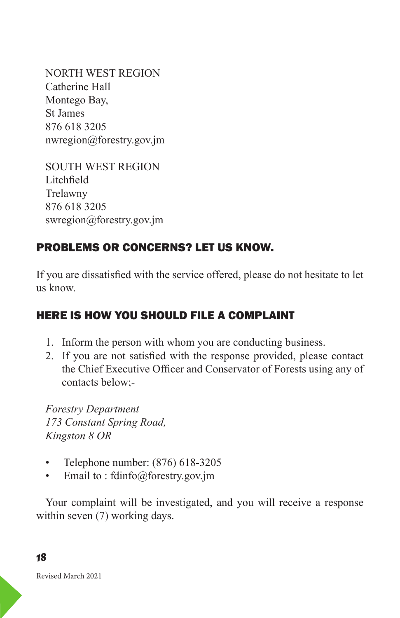NORTH WEST REGION Catherine Hall Montego Bay, St James 876 618 3205 nwregion@forestry.gov.jm

```
SOUTH WEST REGION 
Litchfield
Trelawny
876 618 3205 
swregion@forestry.gov.jm
```
## PROBLEMS OR CONCERNS? LET US KNOW.

If you are dissatisfied with the service offered, please do not hesitate to let us know.

#### HERE IS HOW YOU SHOULD FILE A COMPLAINT

- 1. Inform the person with whom you are conducting business.
- 2. If you are not satisfied with the response provided, please contact the Chief Executive Officer and Conservator of Forests using any of contacts below;-

*Forestry Department 173 Constant Spring Road, Kingston 8 OR*

- Telephone number: (876) 618-3205
- Email to : fdinfo@forestry.gov.jm

Your complaint will be investigated, and you will receive a response within seven (7) working days.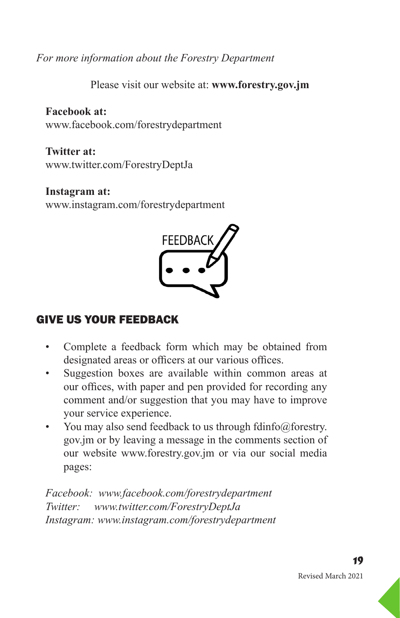*For more information about the Forestry Department*

Please visit our website at: **www.forestry.gov.jm** 

**Facebook at:** www.facebook.com/forestrydepartment

**Twitter at:** www.twitter.com/ForestryDeptJa

#### **Instagram at:**

www.instagram.com/forestrydepartment



#### GIVE US YOUR FEEDBACK

- Complete a feedback form which may be obtained from designated areas or officers at our various offices.
- Suggestion boxes are available within common areas at our offices, with paper and pen provided for recording any comment and/or suggestion that you may have to improve your service experience.
- You may also send feedback to us through fdinfo@forestry. gov.jm or by leaving a message in the comments section of our website www.forestry.gov.jm or via our social media pages:

*Facebook: www.facebook.com/forestrydepartment Twitter: www.twitter.com/ForestryDeptJa Instagram: www.instagram.com/forestrydepartment*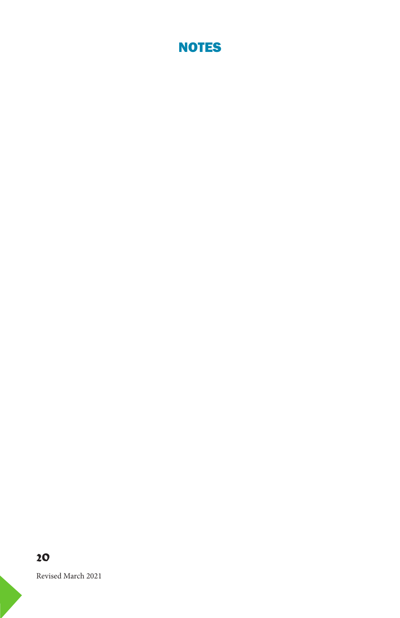

#### *20*